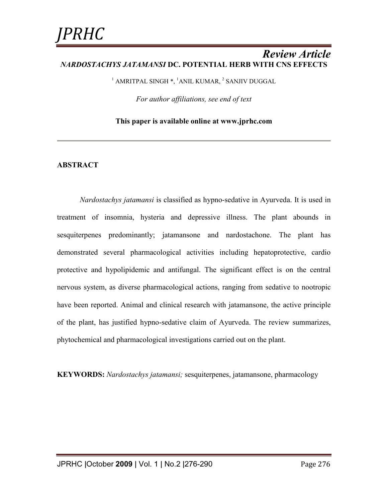### *Review Article NARDOSTACHYS JATAMANSI* **DC. POTENTIAL HERB WITH CNS EFFECTS**

 $^1$  AMRITPAL SINGH  $\ast,$   $^1$ ANIL KUMAR,  $^2$  SANJIV DUGGAL

*For author affiliations, see end of text* 

**This paper is available online at www.jprhc.com**

### **ABSTRACT**

*Nardostachys jatamansi* is classified as hypno-sedative in Ayurveda. It is used in treatment of insomnia, hysteria and depressive illness. The plant abounds in sesquiterpenes predominantly; jatamansone and nardostachone. The plant has demonstrated several pharmacological activities including hepatoprotective, cardio protective and hypolipidemic and antifungal. The significant effect is on the central nervous system, as diverse pharmacological actions, ranging from sedative to nootropic have been reported. Animal and clinical research with jatamansone, the active principle of the plant, has justified hypno-sedative claim of Ayurveda. The review summarizes, phytochemical and pharmacological investigations carried out on the plant.

**KEYWORDS:** *Nardostachys jatamansi;* sesquiterpenes, jatamansone, pharmacology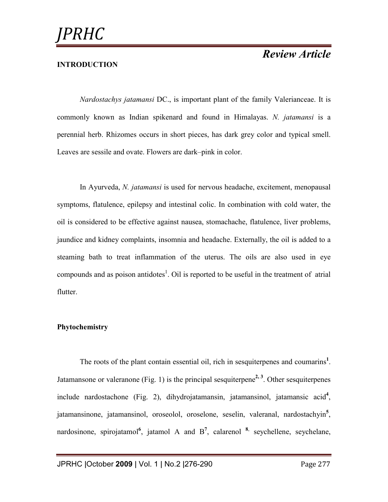### **INTRODUCTION**

*Nardostachys jatamansi* DC., is important plant of the family Valerianceae. It is commonly known as Indian spikenard and found in Himalayas. *N. jatamansi* is a perennial herb. Rhizomes occurs in short pieces, has dark grey color and typical smell. Leaves are sessile and ovate. Flowers are dark–pink in color.

In Ayurveda, *N. jatamansi* is used for nervous headache, excitement, menopausal symptoms, flatulence, epilepsy and intestinal colic. In combination with cold water, the oil is considered to be effective against nausea, stomachache, flatulence, liver problems, jaundice and kidney complaints, insomnia and headache. Externally, the oil is added to a steaming bath to treat inflammation of the uterus. The oils are also used in eye compounds and as poison antidotes<sup>1</sup>. Oil is reported to be useful in the treatment of atrial flutter.

### **Phytochemistry**

The roots of the plant contain essential oil, rich in sesquiterpenes and coumarins**<sup>1</sup>** . Jatamansone or valeranone (Fig. 1) is the principal sesquiterpene<sup>2, 3</sup>. Other sesquiterpenes include nardostachone (Fig. 2), dihydrojatamansin, jatamansinol, jatamansic acid**<sup>4</sup>** , jatamansinone, jatamansinol, oroseolol, oroselone, seselin, valeranal, nardostachyin**<sup>5</sup>** , nardosinone, spirojatamol<sup>6</sup>, jatamol A and B<sup>7</sup>, calarenol <sup>8</sup><sup>,</sup> seychellene, seychelane,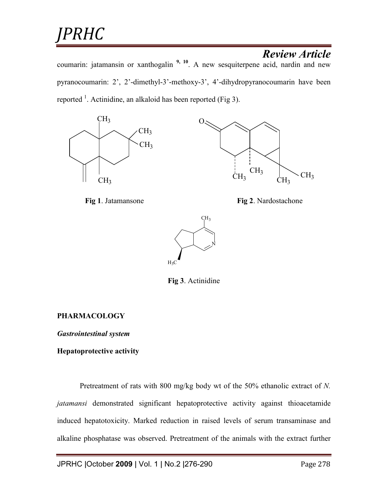# *JPRHC*

# *Review Article*

coumarin: jatamansin or xanthogalin **9, 10**. A new sesquiterpene acid, nardin and new pyranocoumarin: 2', 2'-dimethyl-3'-methoxy-3', 4'-dihydropyranocoumarin have been reported  $<sup>1</sup>$ . Actinidine, an alkaloid has been reported (Fig 3).</sup>







**Fig 1**. Jatamansone **Fig 2**. Nardostachone



**Fig 3**. Actinidine

### **PHARMACOLOGY**

*Gastrointestinal system* 

### **Hepatoprotective activity**

Pretreatment of rats with 800 mg/kg body wt of the 50% ethanolic extract of *N. jatamansi* demonstrated significant hepatoprotective activity against thioacetamide induced hepatotoxicity. Marked reduction in raised levels of serum transaminase and alkaline phosphatase was observed. Pretreatment of the animals with the extract further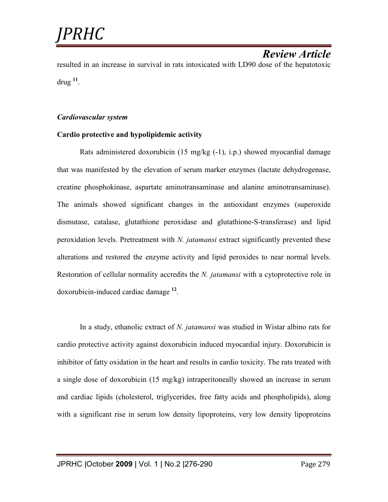*Review Article*  resulted in an increase in survival in rats intoxicated with LD90 dose of the hepatotoxic drug **<sup>11</sup>** .

#### *Cardiovascular system*

### **Cardio protective and hypolipidemic activity**

Rats administered doxorubicin (15 mg/kg (-1), i.p.) showed myocardial damage that was manifested by the elevation of serum marker enzymes (lactate dehydrogenase, creatine phosphokinase, aspartate aminotransaminase and alanine aminotransaminase). The animals showed significant changes in the antioxidant enzymes (superoxide dismutase, catalase, glutathione peroxidase and glutathione-S-transferase) and lipid peroxidation levels. Pretreatment with *N. jatamansi* extract significantly prevented these alterations and restored the enzyme activity and lipid peroxides to near normal levels. Restoration of cellular normality accredits the *N. jatamansi* with a cytoprotective role in doxorubicin-induced cardiac damage **<sup>12</sup>** .

In a study, ethanolic extract of *N. jatamansi* was studied in Wistar albino rats for cardio protective activity against doxorubicin induced myocardial injury. Doxorubicin is inhibitor of fatty oxidation in the heart and results in cardio toxicity. The rats treated with a single dose of doxorubicin (15 mg/kg) intraperitoneally showed an increase in serum and cardiac lipids (cholesterol, triglycerides, free fatty acids and phospholipids), along with a significant rise in serum low density lipoproteins, very low density lipoproteins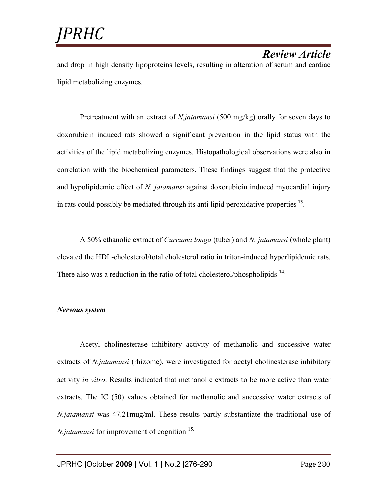and drop in high density lipoproteins levels, resulting in alteration of serum and cardiac lipid metabolizing enzymes.

Pretreatment with an extract of *N.jatamansi* (500 mg/kg) orally for seven days to doxorubicin induced rats showed a significant prevention in the lipid status with the activities of the lipid metabolizing enzymes. Histopathological observations were also in correlation with the biochemical parameters. These findings suggest that the protective and hypolipidemic effect of *N. jatamansi* against doxorubicin induced myocardial injury in rats could possibly be mediated through its anti lipid peroxidative properties **<sup>13</sup>** .

A 50% ethanolic extract of *Curcuma longa* (tuber) and *N. jatamansi* (whole plant) elevated the HDL-cholesterol/total cholesterol ratio in triton-induced hyperlipidemic rats. There also was a reduction in the ratio of total cholesterol/phospholipids **<sup>14</sup>**.

### *Nervous system*

Acetyl cholinesterase inhibitory activity of methanolic and successive water extracts of *N.jatamansi* (rhizome), were investigated for acetyl cholinesterase inhibitory activity *in vitro*. Results indicated that methanolic extracts to be more active than water extracts. The IC (50) values obtained for methanolic and successive water extracts of *N.jatamansi* was 47.21mug/ml. These results partly substantiate the traditional use of *N.jatamansi* for improvement of cognition <sup>15.</sup>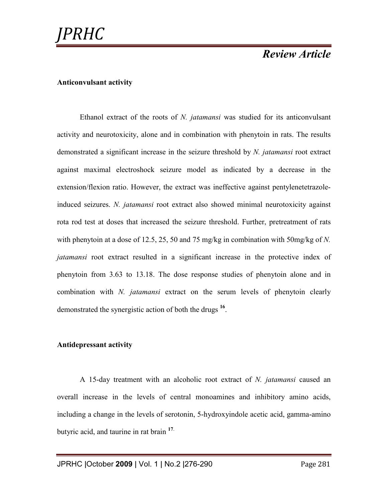#### **Anticonvulsant activity**

Ethanol extract of the roots of *N. jatamansi* was studied for its anticonvulsant activity and neurotoxicity, alone and in combination with phenytoin in rats. The results demonstrated a significant increase in the seizure threshold by *N. jatamansi* root extract against maximal electroshock seizure model as indicated by a decrease in the extension/flexion ratio. However, the extract was ineffective against pentylenetetrazoleinduced seizures. *N. jatamansi* root extract also showed minimal neurotoxicity against rota rod test at doses that increased the seizure threshold. Further, pretreatment of rats with phenytoin at a dose of 12.5, 25, 50 and 75 mg/kg in combination with 50mg/kg of *N. jatamansi* root extract resulted in a significant increase in the protective index of phenytoin from 3.63 to 13.18. The dose response studies of phenytoin alone and in combination with *N. jatamansi* extract on the serum levels of phenytoin clearly demonstrated the synergistic action of both the drugs **<sup>16</sup>** .

#### **Antidepressant activity**

A 15-day treatment with an alcoholic root extract of *N. jatamansi* caused an overall increase in the levels of central monoamines and inhibitory amino acids, including a change in the levels of serotonin, 5-hydroxyindole acetic acid, gamma-amino butyric acid, and taurine in rat brain **<sup>17</sup>**.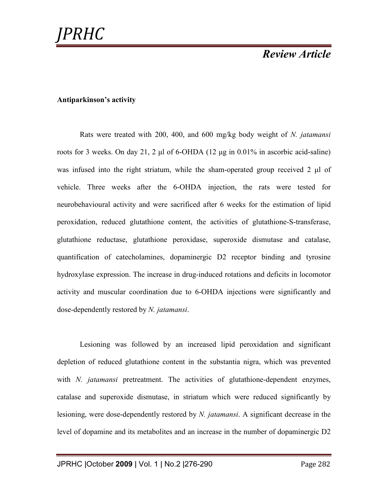#### **Antiparkinson's activity**

Rats were treated with 200, 400, and 600 mg/kg body weight of *N. jatamansi* roots for 3 weeks. On day 21, 2 µl of 6-OHDA  $(12 \mu g \text{ in } 0.01\% \text{ in ascorbic acid-saline})$ was infused into the right striatum, while the sham-operated group received  $2 \mu$  of vehicle. Three weeks after the 6-OHDA injection, the rats were tested for neurobehavioural activity and were sacrificed after 6 weeks for the estimation of lipid peroxidation, reduced glutathione content, the activities of glutathione-S-transferase, glutathione reductase, glutathione peroxidase, superoxide dismutase and catalase, quantification of catecholamines, dopaminergic D2 receptor binding and tyrosine hydroxylase expression. The increase in drug-induced rotations and deficits in locomotor activity and muscular coordination due to 6-OHDA injections were significantly and dose-dependently restored by *N. jatamansi*.

Lesioning was followed by an increased lipid peroxidation and significant depletion of reduced glutathione content in the substantia nigra, which was prevented with *N. jatamansi* pretreatment. The activities of glutathione-dependent enzymes, catalase and superoxide dismutase, in striatum which were reduced significantly by lesioning, were dose-dependently restored by *N. jatamansi*. A significant decrease in the level of dopamine and its metabolites and an increase in the number of dopaminergic D2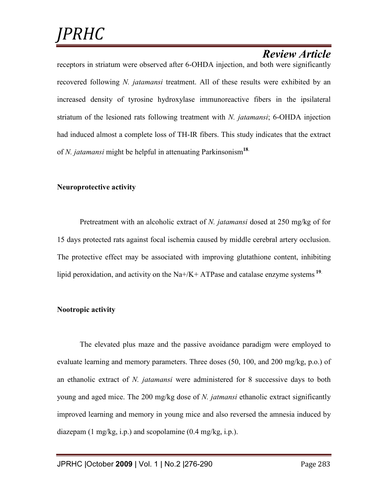receptors in striatum were observed after 6-OHDA injection, and both were significantly recovered following *N. jatamansi* treatment. All of these results were exhibited by an increased density of tyrosine hydroxylase immunoreactive fibers in the ipsilateral striatum of the lesioned rats following treatment with *N. jatamansi*; 6-OHDA injection had induced almost a complete loss of TH-IR fibers. This study indicates that the extract of *N. jatamansi* might be helpful in attenuating Parkinsonism**<sup>18</sup>**.

### **Neuroprotective activity**

Pretreatment with an alcoholic extract of *N. jatamansi* dosed at 250 mg/kg of for 15 days protected rats against focal ischemia caused by middle cerebral artery occlusion. The protective effect may be associated with improving glutathione content, inhibiting lipid peroxidation, and activity on the Na+/K+ ATPase and catalase enzyme systems **<sup>19</sup>**.

### **Nootropic activity**

The elevated plus maze and the passive avoidance paradigm were employed to evaluate learning and memory parameters. Three doses (50, 100, and 200 mg/kg, p.o.) of an ethanolic extract of *N. jatamansi* were administered for 8 successive days to both young and aged mice. The 200 mg/kg dose of *N. jatmansi* ethanolic extract significantly improved learning and memory in young mice and also reversed the amnesia induced by diazepam (1 mg/kg, i.p.) and scopolamine (0.4 mg/kg, i.p.).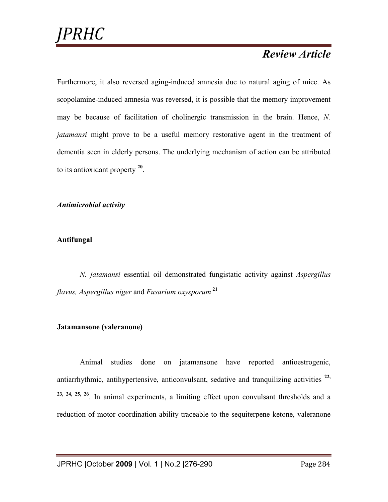Furthermore, it also reversed aging-induced amnesia due to natural aging of mice. As scopolamine-induced amnesia was reversed, it is possible that the memory improvement may be because of facilitation of cholinergic transmission in the brain. Hence, *N. jatamansi* might prove to be a useful memory restorative agent in the treatment of dementia seen in elderly persons. The underlying mechanism of action can be attributed to its antioxidant property **<sup>20</sup>** .

*Antimicrobial activity* 

### **Antifungal**

*N. jatamansi* essential oil demonstrated fungistatic activity against *Aspergillus flavus, Aspergillus niger* and *Fusarium oxysporum* **<sup>21</sup>**

### **Jatamansone (valeranone)**

Animal studies done on jatamansone have reported antioestrogenic, antiarrhythmic, antihypertensive, anticonvulsant, sedative and tranquilizing activities **22, 23, 24, 25, 26**. In animal experiments, a limiting effect upon convulsant thresholds and a reduction of motor coordination ability traceable to the sequiterpene ketone, valeranone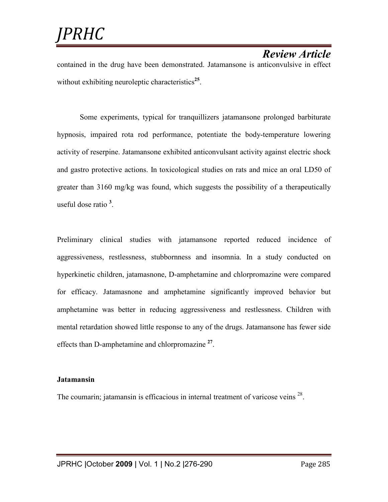contained in the drug have been demonstrated. Jatamansone is anticonvulsive in effect without exhibiting neuroleptic characteristics<sup>25</sup>.

Some experiments, typical for tranquillizers jatamansone prolonged barbiturate hypnosis, impaired rota rod performance, potentiate the body-temperature lowering activity of reserpine. Jatamansone exhibited anticonvulsant activity against electric shock and gastro protective actions. In toxicological studies on rats and mice an oral LD50 of greater than 3160 mg/kg was found, which suggests the possibility of a therapeutically useful dose ratio **<sup>3</sup>** .

Preliminary clinical studies with jatamansone reported reduced incidence of aggressiveness, restlessness, stubbornness and insomnia. In a study conducted on hyperkinetic children, jatamasnone, D-amphetamine and chlorpromazine were compared for efficacy. Jatamasnone and amphetamine significantly improved behavior but amphetamine was better in reducing aggressiveness and restlessness. Children with mental retardation showed little response to any of the drugs. Jatamansone has fewer side effects than D-amphetamine and chlorpromazine **<sup>27</sup>** .

#### **Jatamansin**

The coumarin; jatamansin is efficacious in internal treatment of varicose veins  $28$ .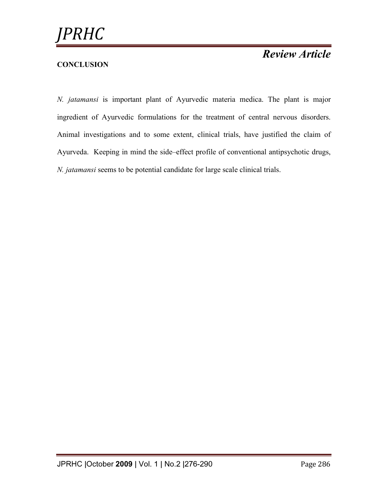### **CONCLUSION**

*N. jatamansi* is important plant of Ayurvedic materia medica. The plant is major ingredient of Ayurvedic formulations for the treatment of central nervous disorders. Animal investigations and to some extent, clinical trials, have justified the claim of Ayurveda. Keeping in mind the side–effect profile of conventional antipsychotic drugs, *N. jatamansi* seems to be potential candidate for large scale clinical trials.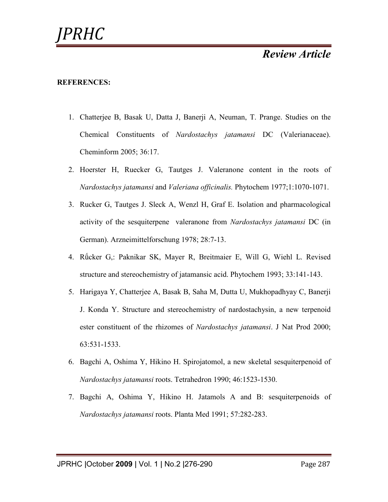#### **REFERENCES:**

- 1. Chatterjee B, Basak U, Datta J, Banerji A, Neuman, T. Prange. Studies on the Chemical Constituents of *Nardostachys jatamansi* DC (Valerianaceae). Cheminform 2005; 36:17.
- 2. Hoerster H, Ruecker G, Tautges J. Valeranone content in the roots of *Nardostachys jatamansi* and *Valeriana officinalis.* Phytochem 1977;1:1070-1071.
- 3. Rucker G, Tautges J. Sleck A, Wenzl H, Graf E. Isolation and pharmacological activity of the sesquiterpene valeranone from *Nardostachys jatamansi* DC (in German). Arzneimittelforschung 1978; 28:7-13.
- 4. Rǘcker G,: Paknikar SK, Mayer R, Breitmaier E, Will G, Wiehl L. Revised structure and stereochemistry of jatamansic acid. Phytochem 1993; 33:141-143.
- 5. Harigaya Y, Chatterjee A, Basak B, Saha M, Dutta U, Mukhopadhyay C, Banerji J. Konda Y. Structure and stereochemistry of nardostachysin, a new terpenoid ester constituent of the rhizomes of *Nardostachys jatamansi*. J Nat Prod 2000; 63:531-1533.
- 6. Bagchi A, Oshima Y, Hikino H. Spirojatomol, a new skeletal sesquiterpenoid of *Nardostachys jatamansi* roots. Tetrahedron 1990; 46:1523-1530.
- 7. Bagchi A, Oshima Y, Hikino H. Jatamols A and B: sesquiterpenoids of *Nardostachys jatamansi* roots. Planta Med 1991; 57:282-283.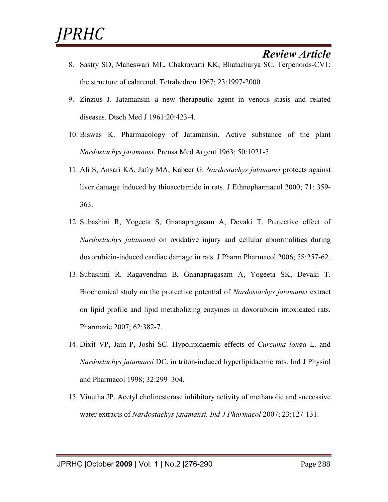- 8. Sastry SD, Maheswari ML, Chakravarti KK, Bhatacharya SC. Terpenoids-CV1: the structure of calarenol. Tetrahedron 1967; 23:1997-2000.
- 9. Zinzius J. Jatamansin--a new therapeutic agent in venous stasis and related diseases. Dtsch Med J 1961:20:423-4.
- 10. Biswas K. Pharmacology of Jatamansin. Active substance of the plant *Nardostachys jatamansi*. Prensa Med Argent 1963; 50:1021-5.
- 11. Ali S, Ansari KA, Jafry MA, Kabeer G. *Nardostachys jatamansi* protects against liver damage induced by thioacetamide in rats. J Ethnopharmacol 2000; 71: 359- 363.
- 12. Subashini R, Yogeeta S, Gnanapragasam A, Devaki T. Protective effect of *Nardostachys jatamansi* on oxidative injury and cellular abnormalities during doxorubicin-induced cardiac damage in rats. J Pharm Pharmacol 2006; 58:257-62.
- 13. Subashini R, Ragavendran B, Gnanapragasam A, Yogeeta SK, Devaki T. Biochemical study on the protective potential of *Nardostachys jatamansi* extract on lipid profile and lipid metabolizing enzymes in doxorubicin intoxicated rats. Pharmazie 2007; 62:382-7.
- 14. Dixit VP, Jain P, Joshi SC. Hypolipidaemic effects of *Curcuma longa* L. and *Nardostachys jatamansi* DC. in triton-induced hyperlipidaemic rats. Ind J Physiol and Pharmacol 1998; 32:299–304.
- 15. Vinutha JP. Acetyl cholinesterase inhibitory activity of methanolic and successive water extracts of *Nardostachys jatamansi. Ind J Pharmacol* 2007; 23:127-131.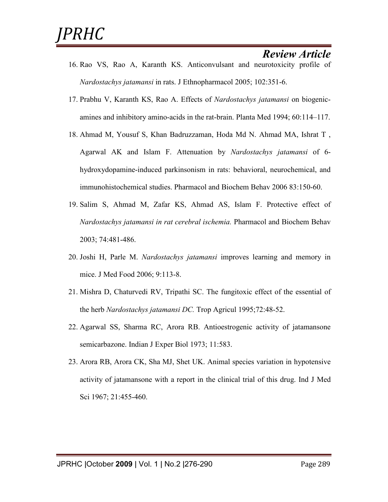- 16. Rao VS, Rao A, Karanth KS. Anticonvulsant and neurotoxicity profile of *Nardostachys jatamansi* in rats. J Ethnopharmacol 2005; 102:351-6.
- 17. Prabhu V, Karanth KS, Rao A. Effects of *Nardostachys jatamansi* on biogenicamines and inhibitory amino-acids in the rat-brain. Planta Med 1994; 60:114–117.
- 18. Ahmad M, Yousuf S, Khan Badruzzaman, Hoda Md N. Ahmad MA, Ishrat T , Agarwal AK and Islam F. Attenuation by *Nardostachys jatamansi* of 6 hydroxydopamine-induced parkinsonism in rats: behavioral, neurochemical, and immunohistochemical studies. Pharmacol and Biochem Behav 2006 83:150-60.
- 19. Salim S, Ahmad M, Zafar KS, Ahmad AS, Islam F. Protective effect of *Nardostachys jatamansi in rat cerebral ischemia.* Pharmacol and Biochem Behav 2003; 74:481-486.
- 20. Joshi H, Parle M. *Nardostachys jatamansi* improves learning and memory in mice. J Med Food 2006; 9:113-8.
- 21. Mishra D, Chaturvedi RV, Tripathi SC. The fungitoxic effect of the essential of the herb *Nardostachys jatamansi DC.* Trop Agricul 1995;72:48-52.
- 22. Agarwal SS, Sharma RC, Arora RB. Antioestrogenic activity of jatamansone semicarbazone. Indian J Exper Biol 1973; 11:583.
- 23. Arora RB, Arora CK, Sha MJ, Shet UK. Animal species variation in hypotensive activity of jatamansone with a report in the clinical trial of this drug. Ind J Med Sci 1967; 21:455-460.